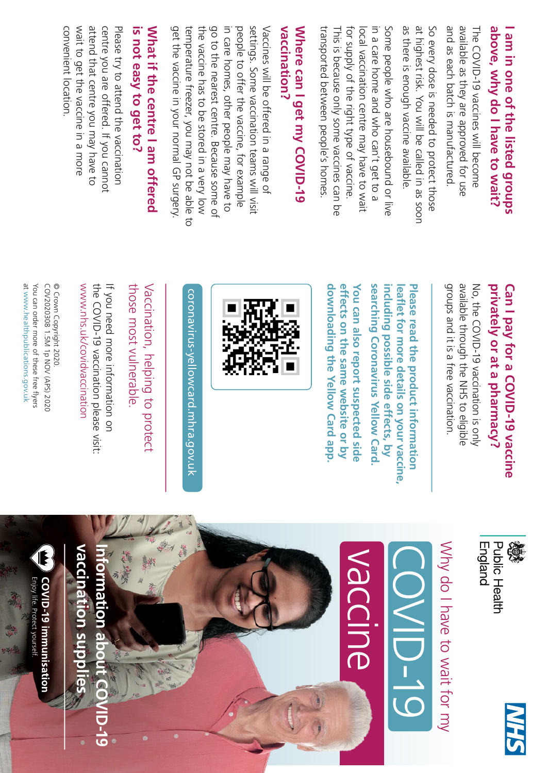### above, why do I have to wait? I am in one of the listed groups **above, why do I have to wait? I am in one of the listed groups**

and as each batch is manutactured. available as they are approved for use The COVID-19 vaccines will become available as they are approved for use The COVID-19 vaccines will become as each batch is manufactured.

as there is enough vaccine available. at highest risk. You will be called in as soon So every dose is needed to protect those as there is enough vaccine available. So every dose is needed to protect those highest risk. You will be called in as soon

transported between people's homes. This is because only some vaccines can be for supply of the right type of vaccine. In a care home and who can't get to a Some people who are housebound or live transported between people's homes. This is because only some vaccines can be for supply of the right type of vaccine. local vaccination centre may have to wait local vaccination centre may have to wait in a care home and who can't get to a Some people who are housebound or live

#### vaccination? Where can I get my COVID-19 **vaccination? Where can I get my COVID-19**

settings. Some vaccination teams will visit get the vaccine in your normal GP surgery. temperature freezer, you may not be able to the vaccine has to be stored in a very low go to the nearest centre. Because some of people to offer the vaccine, for example Vaccines will be offered in a range of get the vaccine in temperature freezer, you may not be able to the vaccine has to be stored in a very low go to the nearest centre. Because some of in care homes, other people may have to in care homes, other people may have to people to offer the vaccine, for example settings. Some vaccination teams will visit Vaccines will be offered in a range of your normal GP surgery.

#### is not easy to get to? What if the centre I am offered **What if the centre I am offered not easy to get to?**

convenient location wait to get the vaccine in a more centre you are offered. If you cannot Please try to attend the vaccination convenient wait to get the attend Please try to attend the vaccination you are offered. If you cannot that location. centre you may have to vaccine in a

## privately or at a pharmacy? Can I pay for a COVID-19 vaccine **privately or at a pharmacy? Can I pay for a COVID-19 vaccine**

available through the NHS to eligible No, the COVID-19 vaccination is only groups No, the COVID-19 vaccination is only and it is a through the NHS to eligible free vaccination.

searching Coronavirus Yellow Card including possible side effects, by Please read the product information **searching Coronavirus Yellow Card. including possible side effects, by leaflet for more details on your vaccine,**  leatlet tor more details on your vaccine, **Please read the product information** 

ettects on the same website or by downloading the Yellow Card app You can also report suspected side **You can also report suspected side downloading the Yellow Card app. effects on the same website or by** 



coronavirus-yellowcard.mhra.gov.uk coronavirus-yellowcard.mhra.gov.uk

those most vulnerable those most vulnerable. Vaccination, helping to protect Vaccination, helping to protect

If you need more information on www.nhs.uk/covidvaccination www.nhs.uk/covidvaccinationthe COVID-19 vaccination please visit: If you need more information on COVID-19 vaccination please visit:

at www.healthpublications.gov.uk © Crown Copyright 2020.<br>COV2020308 1.5M 1p NOV (APS) 2020 You can order more of these free flyers You can order more of these free flyers COV2020308 1.5M 1p NOV (APS) 2020 © Crown Copyright 2020.

www.healthpublications.gov.uk





Why do I have to wait for my Why do I have to wait for my





**E** COVID-19 immunisation Enjoy life. Protect yourself Enjoy life. Protect yourself.

**vaccination supplies**

vaccination supplies

**Information about COVID-19** 

 $\overline{C}$ 

formation abo